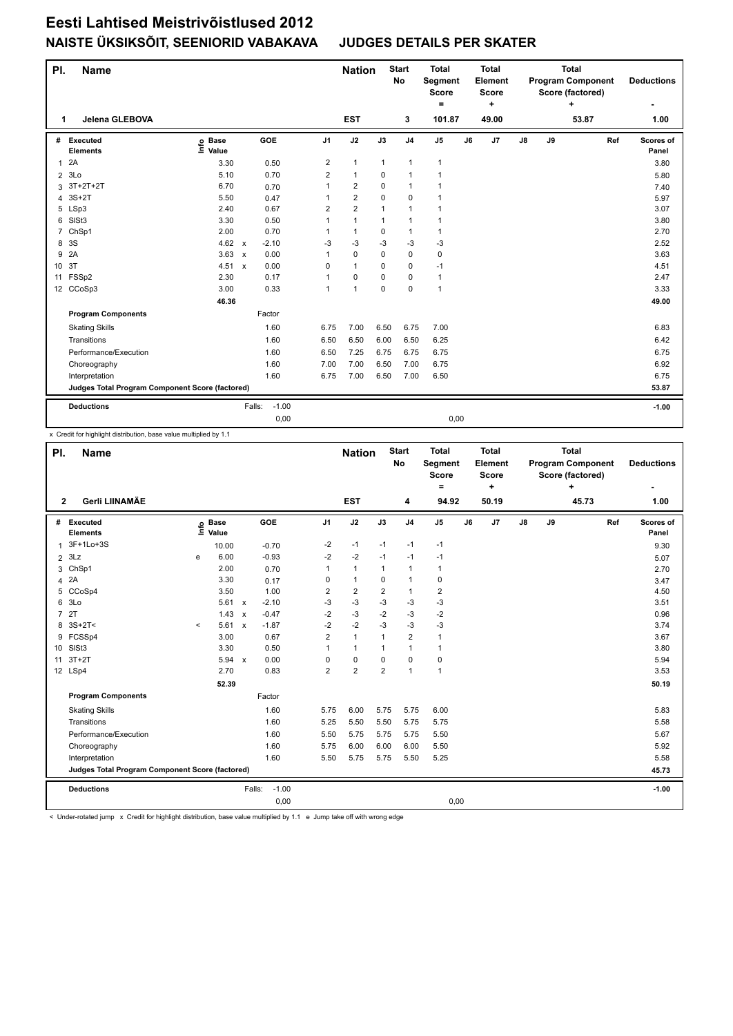## **Eesti Lahtised Meistrivõistlused 2012 NAISTE ÜKSIKSÕIT, SEENIORID VABAKAVA JUDGES DETAILS PER SKATER**

| PI.            | <b>Name</b>                                     |                              |              |         |                | <b>Nation</b>           |              | <b>Start</b><br>No | <b>Total</b><br>Segment<br><b>Score</b><br>= |    | <b>Total</b><br>Element<br><b>Score</b><br>÷ |    | <b>Total</b><br><b>Program Component</b><br>Score (factored) | <b>Deductions</b> |     |                    |
|----------------|-------------------------------------------------|------------------------------|--------------|---------|----------------|-------------------------|--------------|--------------------|----------------------------------------------|----|----------------------------------------------|----|--------------------------------------------------------------|-------------------|-----|--------------------|
| 1              | Jelena GLEBOVA                                  |                              |              |         |                | <b>EST</b>              |              | 3                  | 101.87                                       |    | 49.00                                        |    |                                                              | ÷<br>53.87        |     | 1.00               |
| #              | Executed<br><b>Elements</b>                     | <b>Base</b><br>١nfo<br>Value |              | GOE     | J <sub>1</sub> | J2                      | J3           | J <sub>4</sub>     | J <sub>5</sub>                               | J6 | J <sub>7</sub>                               | J8 | J9                                                           |                   | Ref | Scores of<br>Panel |
| 1              | 2A                                              | 3.30                         |              | 0.50    | 2              | $\mathbf{1}$            | $\mathbf{1}$ | $\mathbf{1}$       | $\mathbf{1}$                                 |    |                                              |    |                                                              |                   |     | 3.80               |
| $\overline{2}$ | 3Lo                                             | 5.10                         |              | 0.70    | 2              | $\mathbf{1}$            | 0            | $\mathbf{1}$       | $\mathbf{1}$                                 |    |                                              |    |                                                              |                   |     | 5.80               |
| 3              | 3T+2T+2T                                        | 6.70                         |              | 0.70    | 1              | $\overline{2}$          | 0            | $\mathbf{1}$       | $\mathbf{1}$                                 |    |                                              |    |                                                              |                   |     | 7.40               |
| 4              | $3S+2T$                                         | 5.50                         |              | 0.47    |                | $\overline{\mathbf{c}}$ | 0            | $\mathbf 0$        | $\mathbf{1}$                                 |    |                                              |    |                                                              |                   |     | 5.97               |
| 5              | LSp3                                            | 2.40                         |              | 0.67    | $\overline{2}$ | $\overline{2}$          | $\mathbf{1}$ | $\mathbf{1}$       | 1                                            |    |                                              |    |                                                              |                   |     | 3.07               |
| 6              | SISt <sub>3</sub>                               | 3.30                         |              | 0.50    | 1              | $\mathbf{1}$            | 1            | $\mathbf 1$        | 1                                            |    |                                              |    |                                                              |                   |     | 3.80               |
| $\overline{7}$ | ChSp1                                           | 2.00                         |              | 0.70    | 1              | $\mathbf{1}$            | $\Omega$     | $\mathbf{1}$       | $\mathbf{1}$                                 |    |                                              |    |                                                              |                   |     | 2.70               |
| 8              | 3S                                              | 4.62                         | $\mathsf{x}$ | $-2.10$ | -3             | $-3$                    | $-3$         | $-3$               | $-3$                                         |    |                                              |    |                                                              |                   |     | 2.52               |
| 9              | 2A                                              | 3.63                         | $\mathbf{x}$ | 0.00    | 1              | 0                       | 0            | $\mathbf 0$        | 0                                            |    |                                              |    |                                                              |                   |     | 3.63               |
| 10             | 3T                                              | 4.51 x                       |              | 0.00    | 0              | $\mathbf{1}$            | $\Omega$     | $\mathbf 0$        | $-1$                                         |    |                                              |    |                                                              |                   |     | 4.51               |
| 11             | FSSp2                                           | 2.30                         |              | 0.17    | 1              | $\mathbf 0$             | 0            | $\mathbf 0$        | $\mathbf{1}$                                 |    |                                              |    |                                                              |                   |     | 2.47               |
|                | 12 CCoSp3                                       | 3.00                         |              | 0.33    | 1              | $\mathbf{1}$            | $\mathbf 0$  | $\mathbf 0$        | $\mathbf{1}$                                 |    |                                              |    |                                                              |                   |     | 3.33               |
|                |                                                 | 46.36                        |              |         |                |                         |              |                    |                                              |    |                                              |    |                                                              |                   |     | 49.00              |
|                | <b>Program Components</b>                       |                              |              | Factor  |                |                         |              |                    |                                              |    |                                              |    |                                                              |                   |     |                    |
|                | <b>Skating Skills</b>                           |                              |              | 1.60    | 6.75           | 7.00                    | 6.50         | 6.75               | 7.00                                         |    |                                              |    |                                                              |                   |     | 6.83               |
|                | Transitions                                     |                              |              | 1.60    | 6.50           | 6.50                    | 6.00         | 6.50               | 6.25                                         |    |                                              |    |                                                              |                   |     | 6.42               |
|                | Performance/Execution                           |                              |              | 1.60    | 6.50           | 7.25                    | 6.75         | 6.75               | 6.75                                         |    |                                              |    |                                                              |                   |     | 6.75               |
|                | Choreography                                    |                              |              | 1.60    | 7.00           | 7.00                    | 6.50         | 7.00               | 6.75                                         |    |                                              |    |                                                              |                   |     | 6.92               |
|                | Interpretation                                  |                              |              | 1.60    | 6.75           | 7.00                    | 6.50         | 7.00               | 6.50                                         |    |                                              |    |                                                              |                   |     | 6.75               |
|                | Judges Total Program Component Score (factored) |                              |              |         |                |                         |              |                    |                                              |    |                                              |    | 53.87                                                        |                   |     |                    |
|                | <b>Deductions</b>                               |                              | Falls:       | $-1.00$ |                |                         |              |                    |                                              |    |                                              |    |                                                              |                   |     | $-1.00$            |
|                |                                                 |                              |              | 0,00    |                |                         |              |                    | 0,00                                         |    |                                              |    |                                                              |                   |     |                    |

x Credit for highlight distribution, base value multiplied by 1.1

| PI.            | <b>Name</b>                                     |         |                      |                           |         |                | <b>Nation</b>  |                | <b>Start</b><br>No | <b>Total</b><br>Segment<br><b>Score</b><br>Ξ. |    | <b>Total</b><br>Element<br><b>Score</b><br>٠ |               | <b>Total</b><br><b>Program Component</b><br>Score (factored) | <b>Deductions</b> |     |                    |
|----------------|-------------------------------------------------|---------|----------------------|---------------------------|---------|----------------|----------------|----------------|--------------------|-----------------------------------------------|----|----------------------------------------------|---------------|--------------------------------------------------------------|-------------------|-----|--------------------|
| $\mathbf{2}$   | Gerli LIINAMÄE                                  |         |                      |                           |         |                | <b>EST</b>     |                | 4                  | 94.92                                         |    | 50.19                                        |               |                                                              | ÷<br>45.73        |     | 1.00               |
| #              | Executed<br><b>Elements</b>                     | lnfo    | <b>Base</b><br>Value |                           | GOE     | J <sub>1</sub> | J2             | J3             | J <sub>4</sub>     | J5                                            | J6 | J7                                           | $\mathsf{J}8$ | J9                                                           |                   | Ref | Scores of<br>Panel |
| $\mathbf{1}$   | 3F+1Lo+3S                                       |         | 10.00                |                           | $-0.70$ | $-2$           | $-1$           | $-1$           | $-1$               | $-1$                                          |    |                                              |               |                                                              |                   |     | 9.30               |
| $\overline{2}$ | 3Lz                                             | e       | 6.00                 |                           | $-0.93$ | $-2$           | $-2$           | $-1$           | $-1$               | $-1$                                          |    |                                              |               |                                                              |                   |     | 5.07               |
| 3              | ChSp1                                           |         | 2.00                 |                           | 0.70    | 1              | $\mathbf{1}$   | 1              | $\mathbf{1}$       | $\mathbf{1}$                                  |    |                                              |               |                                                              |                   |     | 2.70               |
| 4              | 2A                                              |         | 3.30                 |                           | 0.17    | 0              | $\mathbf{1}$   | $\mathbf 0$    | $\mathbf{1}$       | $\mathbf 0$                                   |    |                                              |               |                                                              |                   |     | 3.47               |
| 5              | CCoSp4                                          |         | 3.50                 |                           | 1.00    | 2              | $\overline{2}$ | $\overline{2}$ | $\mathbf{1}$       | $\overline{\mathbf{c}}$                       |    |                                              |               |                                                              |                   |     | 4.50               |
| 6              | 3 <sub>LO</sub>                                 |         | 5.61                 | $\mathsf{x}$              | $-2.10$ | $-3$           | $-3$           | $-3$           | $-3$               | $-3$                                          |    |                                              |               |                                                              |                   |     | 3.51               |
| $\overline{7}$ | 2T                                              |         | 1.43                 | $\boldsymbol{\mathsf{x}}$ | $-0.47$ | $-2$           | $-3$           | $-2$           | $-3$               | $-2$                                          |    |                                              |               |                                                              |                   |     | 0.96               |
| 8              | $3S+2T<$                                        | $\prec$ | 5.61                 | $\mathsf{x}$              | $-1.87$ | $-2$           | $-2$           | -3             | $-3$               | $-3$                                          |    |                                              |               |                                                              |                   |     | 3.74               |
|                | 9 FCSSp4                                        |         | 3.00                 |                           | 0.67    | $\overline{2}$ | $\mathbf{1}$   | $\mathbf{1}$   | $\overline{2}$     | $\mathbf{1}$                                  |    |                                              |               |                                                              |                   |     | 3.67               |
| 10             | SISt <sub>3</sub>                               |         | 3.30                 |                           | 0.50    | 1              | $\mathbf{1}$   | $\mathbf{1}$   | $\mathbf{1}$       | $\mathbf{1}$                                  |    |                                              |               |                                                              |                   |     | 3.80               |
| 11             | $3T+2T$                                         |         | 5.94                 | $\mathsf{x}$              | 0.00    | 0              | $\mathbf 0$    | $\mathbf 0$    | $\pmb{0}$          | 0                                             |    |                                              |               |                                                              |                   |     | 5.94               |
|                | 12 LSp4                                         |         | 2.70                 |                           | 0.83    | $\overline{2}$ | $\overline{2}$ | $\overline{2}$ | $\mathbf{1}$       | $\mathbf{1}$                                  |    |                                              |               |                                                              |                   |     | 3.53               |
|                |                                                 |         | 52.39                |                           |         |                |                |                |                    |                                               |    |                                              |               |                                                              |                   |     | 50.19              |
|                | <b>Program Components</b>                       |         |                      |                           | Factor  |                |                |                |                    |                                               |    |                                              |               |                                                              |                   |     |                    |
|                | <b>Skating Skills</b>                           |         |                      |                           | 1.60    | 5.75           | 6.00           | 5.75           | 5.75               | 6.00                                          |    |                                              |               |                                                              |                   |     | 5.83               |
|                | Transitions                                     |         |                      |                           | 1.60    | 5.25           | 5.50           | 5.50           | 5.75               | 5.75                                          |    |                                              |               |                                                              |                   |     | 5.58               |
|                | Performance/Execution                           |         |                      |                           | 1.60    | 5.50           | 5.75           | 5.75           | 5.75               | 5.50                                          |    |                                              |               |                                                              |                   |     | 5.67               |
|                | Choreography                                    |         |                      |                           | 1.60    | 5.75           | 6.00           | 6.00           | 6.00               | 5.50                                          |    |                                              |               |                                                              |                   |     | 5.92               |
|                | Interpretation                                  |         |                      |                           | 1.60    | 5.50           | 5.75           | 5.75           | 5.50               | 5.25                                          |    |                                              |               |                                                              |                   |     | 5.58               |
|                | Judges Total Program Component Score (factored) |         |                      |                           |         |                |                |                |                    |                                               |    |                                              | 45.73         |                                                              |                   |     |                    |
|                | <b>Deductions</b>                               |         |                      | Falls:                    | $-1.00$ |                |                |                |                    |                                               |    |                                              |               |                                                              |                   |     | $-1.00$            |
|                |                                                 |         |                      |                           | 0,00    |                |                |                |                    | 0,00                                          |    |                                              |               |                                                              |                   |     |                    |

< Under-rotated jump x Credit for highlight distribution, base value multiplied by 1.1 e Jump take off with wrong edge